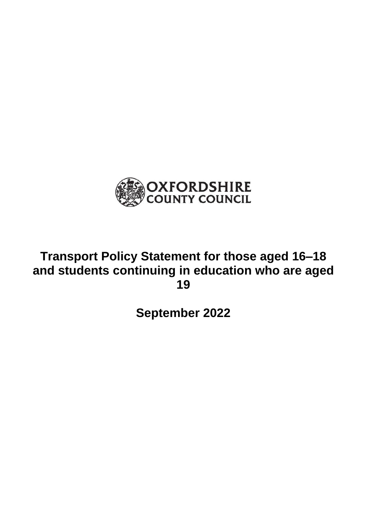

# **Transport Policy Statement for those aged 16–18 and students continuing in education who are aged 19**

**September 2022**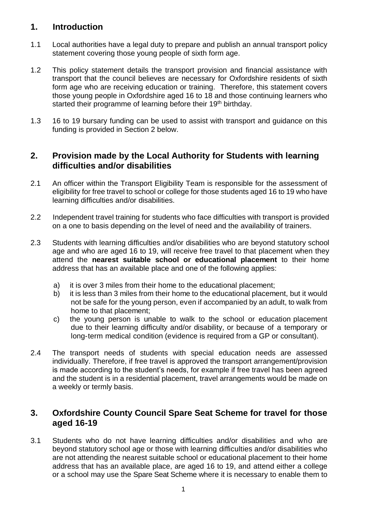# **1. Introduction**

- 1.1 Local authorities have a legal duty to prepare and publish an annual transport policy statement covering those young people of sixth form age.
- 1.2 This policy statement details the transport provision and financial assistance with transport that the council believes are necessary for Oxfordshire residents of sixth form age who are receiving education or training. Therefore, this statement covers those young people in Oxfordshire aged 16 to 18 and those continuing learners who started their programme of learning before their 19<sup>th</sup> birthday.
- 1.3 16 to 19 bursary funding can be used to assist with transport and guidance on this funding is provided in Section 2 below.

## **2. Provision made by the Local Authority for Students with learning difficulties and/or disabilities**

- 2.1 An officer within the Transport Eligibility Team is responsible for the assessment of eligibility for free travel to school or college for those students aged 16 to 19 who have learning difficulties and/or disabilities.
- 2.2 Independent travel training for students who face difficulties with transport is provided on a one to basis depending on the level of need and the availability of trainers.
- 2.3 Students with learning difficulties and/or disabilities who are beyond statutory school age and who are aged 16 to 19, will receive free travel to that placement when they attend the **nearest suitable school or educational placement** to their home address that has an available place and one of the following applies:
	- a) it is over 3 miles from their home to the educational placement;
	- b) it is less than 3 miles from their home to the educational placement, but it would not be safe for the young person, even if accompanied by an adult, to walk from home to that placement;
	- c) the young person is unable to walk to the school or education placement due to their learning difficulty and/or disability, or because of a temporary or long-term medical condition (evidence is required from a GP or consultant).
- 2.4 The transport needs of students with special education needs are assessed individually. Therefore, if free travel is approved the transport arrangement/provision is made according to the student's needs, for example if free travel has been agreed and the student is in a residential placement, travel arrangements would be made on a weekly or termly basis.

## **3. Oxfordshire County Council Spare Seat Scheme for travel for those aged 16-19**

3.1 Students who do not have learning difficulties and/or disabilities and who are beyond statutory school age or those with learning difficulties and/or disabilities who are not attending the nearest suitable school or educational placement to their home address that has an available place, are aged 16 to 19, and attend either a college or a school may use the Spare Seat Scheme where it is necessary to enable them to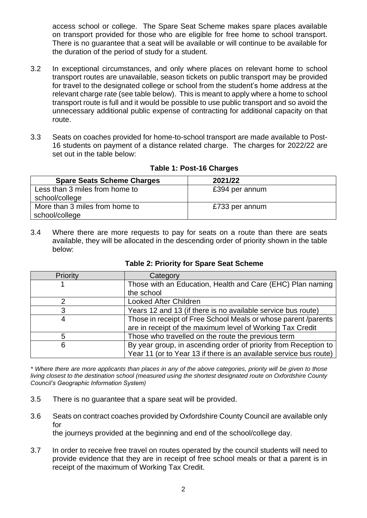access school or college. The Spare Seat Scheme makes spare places available on transport provided for those who are eligible for free home to school transport. There is no guarantee that a seat will be available or will continue to be available for the duration of the period of study for a student.

- 3.2 In exceptional circumstances, and only where places on relevant home to school transport routes are unavailable, season tickets on public transport may be provided for travel to the designated college or school from the student's home address at the relevant charge rate (see table below). This is meant to apply where a home to school transport route is full and it would be possible to use public transport and so avoid the unnecessary additional public expense of contracting for additional capacity on that route.
- 3.3 Seats on coaches provided for home-to-school transport are made available to Post-16 students on payment of a distance related charge. The charges for 2022/22 are set out in the table below:

| <b>Spare Seats Scheme Charges</b>                | 2021/22        |
|--------------------------------------------------|----------------|
| Less than 3 miles from home to<br>school/college | £394 per annum |
| More than 3 miles from home to<br>school/college | £733 per annum |

#### **Table 1: Post-16 Charges**

3.4 Where there are more requests to pay for seats on a route than there are seats available, they will be allocated in the descending order of priority shown in the table below:

| Priority | Category                                                           |
|----------|--------------------------------------------------------------------|
|          | Those with an Education, Health and Care (EHC) Plan naming         |
|          | the school                                                         |
|          | <b>Looked After Children</b>                                       |
|          | Years 12 and 13 (if there is no available service bus route)       |
|          | Those in receipt of Free School Meals or whose parent /parents     |
|          | are in receipt of the maximum level of Working Tax Credit          |
| 5        | Those who travelled on the route the previous term                 |
| 6        | By year group, in ascending order of priority from Reception to    |
|          | Year 11 (or to Year 13 if there is an available service bus route) |

#### **Table 2: Priority for Spare Seat Scheme**

*\* Where there are more applicants than places in any of the above categories, priority will be given to those living closest to the destination school (measured using the shortest designated route on Oxfordshire County Council's Geographic Information System)*

- 3.5 There is no guarantee that a spare seat will be provided.
- 3.6 Seats on contract coaches provided by Oxfordshire County Council are available only for the journeys provided at the beginning and end of the school/college day.
- 3.7 In order to receive free travel on routes operated by the council students will need to provide evidence that they are in receipt of free school meals or that a parent is in receipt of the maximum of Working Tax Credit.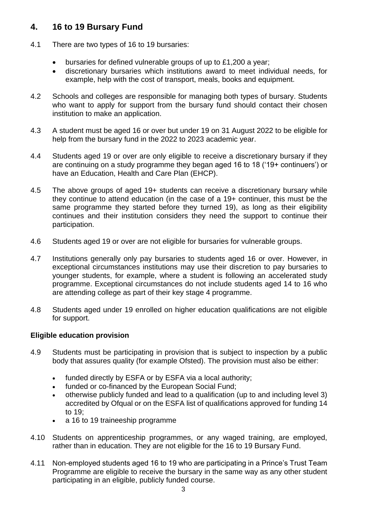# **4. 16 to 19 Bursary Fund**

- 4.1 There are two types of 16 to 19 bursaries:
	- bursaries for defined vulnerable groups of up to £1,200 a year;
	- discretionary bursaries which institutions award to meet individual needs, for example, help with the cost of transport, meals, books and equipment.
- 4.2 Schools and colleges are responsible for managing both types of bursary. Students who want to apply for support from the bursary fund should contact their chosen institution to make an application.
- 4.3 A student must be aged 16 or over but under 19 on 31 August 2022 to be eligible for help from the bursary fund in the 2022 to 2023 academic year.
- 4.4 Students aged 19 or over are only eligible to receive a discretionary bursary if they are continuing on a study programme they began aged 16 to 18 ('19+ continuers') or have an Education, Health and Care Plan (EHCP).
- 4.5 The above groups of aged 19+ students can receive a discretionary bursary while they continue to attend education (in the case of a 19+ continuer, this must be the same programme they started before they turned 19), as long as their eligibility continues and their institution considers they need the support to continue their participation.
- 4.6 Students aged 19 or over are not eligible for bursaries for vulnerable groups.
- 4.7 Institutions generally only pay bursaries to students aged 16 or over. However, in exceptional circumstances institutions may use their discretion to pay bursaries to younger students, for example, where a student is following an accelerated study programme. Exceptional circumstances do not include students aged 14 to 16 who are attending college as part of their key stage 4 programme.
- 4.8 Students aged under 19 enrolled on higher education qualifications are not eligible for support.

#### **Eligible education provision**

- 4.9 Students must be participating in provision that is subject to inspection by a public body that assures quality (for example Ofsted). The provision must also be either:
	- funded directly by ESFA or by ESFA via a local authority;
	- funded or co-financed by the European Social Fund;
	- otherwise publicly funded and lead to a qualification (up to and including level 3) accredited by Ofqual or on the ESFA list of qualifications approved for funding 14 to 19;
	- a 16 to 19 traineeship programme
- 4.10 Students on apprenticeship programmes, or any waged training, are employed, rather than in education. They are not eligible for the 16 to 19 Bursary Fund.
- 4.11 Non-employed students aged 16 to 19 who are participating in a Prince's Trust Team Programme are eligible to receive the bursary in the same way as any other student participating in an eligible, publicly funded course.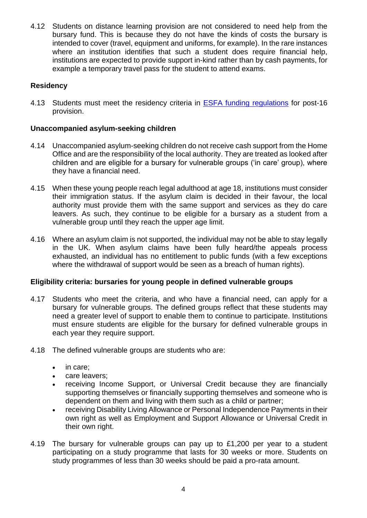4.12 Students on distance learning provision are not considered to need help from the bursary fund. This is because they do not have the kinds of costs the bursary is intended to cover (travel, equipment and uniforms, for example). In the rare instances where an institution identifies that such a student does require financial help, institutions are expected to provide support in-kind rather than by cash payments, for example a temporary travel pass for the student to attend exams.

## **Residency**

4.13 Students must meet the residency criteria in **ESFA funding regulations** for post-16 provision.

#### **Unaccompanied asylum-seeking children**

- 4.14 Unaccompanied asylum-seeking children do not receive cash support from the Home Office and are the responsibility of the local authority. They are treated as looked after children and are eligible for a bursary for vulnerable groups ('in care' group), where they have a financial need.
- 4.15 When these young people reach legal adulthood at age 18, institutions must consider their immigration status. If the asylum claim is decided in their favour, the local authority must provide them with the same support and services as they do care leavers. As such, they continue to be eligible for a bursary as a student from a vulnerable group until they reach the upper age limit.
- 4.16 Where an asylum claim is not supported, the individual may not be able to stay legally in the UK. When asylum claims have been fully heard/the appeals process exhausted, an individual has no entitlement to public funds (with a few exceptions where the withdrawal of support would be seen as a breach of human rights).

#### **Eligibility criteria: bursaries for young people in defined vulnerable groups**

- 4.17 Students who meet the criteria, and who have a financial need, can apply for a bursary for vulnerable groups. The defined groups reflect that these students may need a greater level of support to enable them to continue to participate. Institutions must ensure students are eligible for the bursary for defined vulnerable groups in each year they require support.
- 4.18 The defined vulnerable groups are students who are:
	- in care;
	- care leavers;
	- receiving Income Support, or Universal Credit because they are financially supporting themselves or financially supporting themselves and someone who is dependent on them and living with them such as a child or partner;
	- receiving Disability Living Allowance or Personal Independence Payments in their own right as well as Employment and Support Allowance or Universal Credit in their own right.
- 4.19 The bursary for vulnerable groups can pay up to £1,200 per year to a student participating on a study programme that lasts for 30 weeks or more. Students on study programmes of less than 30 weeks should be paid a pro-rata amount.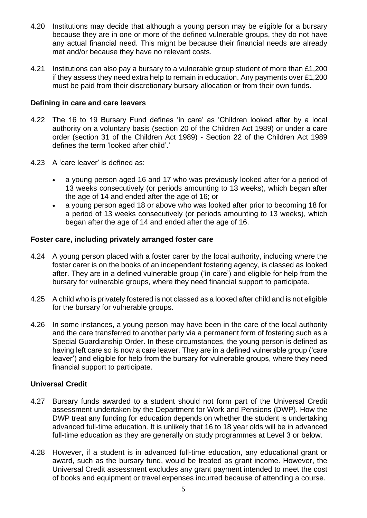- 4.20 Institutions may decide that although a young person may be eligible for a bursary because they are in one or more of the defined vulnerable groups, they do not have any actual financial need. This might be because their financial needs are already met and/or because they have no relevant costs.
- 4.21 Institutions can also pay a bursary to a vulnerable group student of more than £1,200 if they assess they need extra help to remain in education. Any payments over £1,200 must be paid from their discretionary bursary allocation or from their own funds.

#### **Defining in care and care leavers**

- 4.22 The 16 to 19 Bursary Fund defines 'in care' as 'Children looked after by a local authority on a voluntary basis (section 20 of the Children Act 1989) or under a care order (section 31 of the Children Act 1989) - Section 22 of the Children Act 1989 defines the term 'looked after child'.'
- 4.23 A 'care leaver' is defined as:
	- a young person aged 16 and 17 who was previously looked after for a period of 13 weeks consecutively (or periods amounting to 13 weeks), which began after the age of 14 and ended after the age of 16; or
	- a young person aged 18 or above who was looked after prior to becoming 18 for a period of 13 weeks consecutively (or periods amounting to 13 weeks), which began after the age of 14 and ended after the age of 16.

#### **Foster care, including privately arranged foster care**

- 4.24 A young person placed with a foster carer by the local authority, including where the foster carer is on the books of an independent fostering agency, is classed as looked after. They are in a defined vulnerable group ('in care') and eligible for help from the bursary for vulnerable groups, where they need financial support to participate.
- 4.25 A child who is privately fostered is not classed as a looked after child and is not eligible for the bursary for vulnerable groups.
- 4.26 In some instances, a young person may have been in the care of the local authority and the care transferred to another party via a permanent form of fostering such as a Special Guardianship Order. In these circumstances, the young person is defined as having left care so is now a care leaver. They are in a defined vulnerable group ('care leaver') and eligible for help from the bursary for vulnerable groups, where they need financial support to participate.

#### **Universal Credit**

- 4.27 Bursary funds awarded to a student should not form part of the Universal Credit assessment undertaken by the Department for Work and Pensions (DWP). How the DWP treat any funding for education depends on whether the student is undertaking advanced full-time education. It is unlikely that 16 to 18 year olds will be in advanced full-time education as they are generally on study programmes at Level 3 or below.
- 4.28 However, if a student is in advanced full-time education, any educational grant or award, such as the bursary fund, would be treated as grant income. However, the Universal Credit assessment excludes any grant payment intended to meet the cost of books and equipment or travel expenses incurred because of attending a course.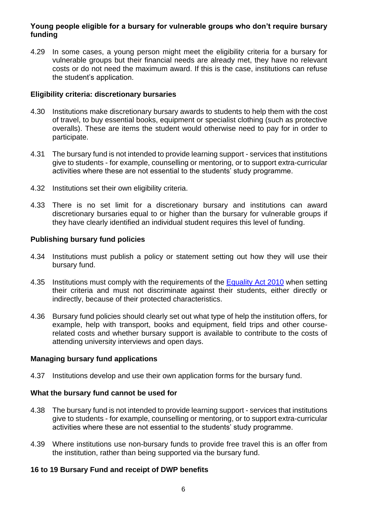#### **Young people eligible for a bursary for vulnerable groups who don't require bursary funding**

4.29 In some cases, a young person might meet the eligibility criteria for a bursary for vulnerable groups but their financial needs are already met, they have no relevant costs or do not need the maximum award. If this is the case, institutions can refuse the student's application.

#### **Eligibility criteria: discretionary bursaries**

- 4.30 Institutions make discretionary bursary awards to students to help them with the cost of travel, to buy essential books, equipment or specialist clothing (such as protective overalls). These are items the student would otherwise need to pay for in order to participate.
- 4.31 The bursary fund is not intended to provide learning support services that institutions give to students - for example, counselling or mentoring, or to support extra-curricular activities where these are not essential to the students' study programme.
- 4.32 Institutions set their own eligibility criteria.
- 4.33 There is no set limit for a discretionary bursary and institutions can award discretionary bursaries equal to or higher than the bursary for vulnerable groups if they have clearly identified an individual student requires this level of funding.

#### **Publishing bursary fund policies**

- 4.34 Institutions must publish a policy or statement setting out how they will use their bursary fund.
- 4.35 Institutions must comply with the requirements of the [Equality Act 2010](http://www.legislation.gov.uk/ukpga/2010/15/pdfs/ukpga_20100015_en.pdf) when setting their criteria and must not discriminate against their students, either directly or indirectly, because of their protected characteristics.
- 4.36 Bursary fund policies should clearly set out what type of help the institution offers, for example, help with transport, books and equipment, field trips and other courserelated costs and whether bursary support is available to contribute to the costs of attending university interviews and open days.

#### **Managing bursary fund applications**

4.37 Institutions develop and use their own application forms for the bursary fund.

#### **What the bursary fund cannot be used for**

- 4.38 The bursary fund is not intended to provide learning support services that institutions give to students - for example, counselling or mentoring, or to support extra-curricular activities where these are not essential to the students' study programme.
- 4.39 Where institutions use non-bursary funds to provide free travel this is an offer from the institution, rather than being supported via the bursary fund.

#### **16 to 19 Bursary Fund and receipt of DWP benefits**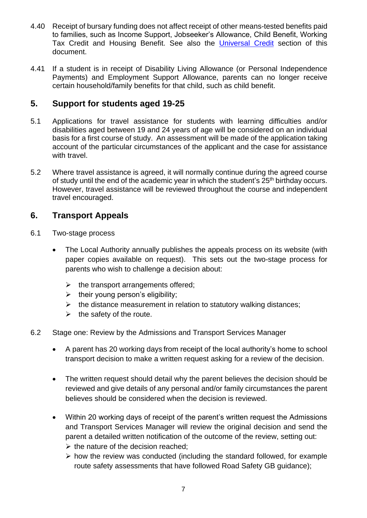- 4.40 Receipt of bursary funding does not affect receipt of other means-tested benefits paid to families, such as Income Support, Jobseeker's Allowance, Child Benefit, Working Tax Credit and Housing Benefit. See also the [Universal Credit](https://www.gov.uk/guidance/16-to-19-bursary-fund-guide-2019-to-2020-academic-year#universal-credit) section of this document.
- 4.41 If a student is in receipt of Disability Living Allowance (or Personal Independence Payments) and Employment Support Allowance, parents can no longer receive certain household/family benefits for that child, such as child benefit.

# **5. Support for students aged 19-25**

- 5.1 Applications for travel assistance for students with learning difficulties and/or disabilities aged between 19 and 24 years of age will be considered on an individual basis for a first course of study. An assessment will be made of the application taking account of the particular circumstances of the applicant and the case for assistance with travel.
- 5.2 Where travel assistance is agreed, it will normally continue during the agreed course of study until the end of the academic year in which the student's 25<sup>th</sup> birthday occurs. However, travel assistance will be reviewed throughout the course and independent travel encouraged.

## **6. Transport Appeals**

- 6.1 Two-stage process
	- The Local Authority annually publishes the appeals process on its website (with paper copies available on request). This sets out the two-stage process for parents who wish to challenge a decision about:
		- $\triangleright$  the transport arrangements offered;
		- $\triangleright$  their young person's eligibility;
		- $\triangleright$  the distance measurement in relation to statutory walking distances;
		- $\triangleright$  the safety of the route.
- 6.2 Stage one: Review by the Admissions and Transport Services Manager
	- A parent has 20 working days from receipt of the local authority's home to school transport decision to make a written request asking for a review of the decision.
	- The written request should detail why the parent believes the decision should be reviewed and give details of any personal and/or family circumstances the parent believes should be considered when the decision is reviewed.
	- Within 20 working days of receipt of the parent's written request the Admissions and Transport Services Manager will review the original decision and send the parent a detailed written notification of the outcome of the review, setting out:
		- $\triangleright$  the nature of the decision reached;
		- ➢ how the review was conducted (including the standard followed, for example route safety assessments that have followed Road Safety GB guidance);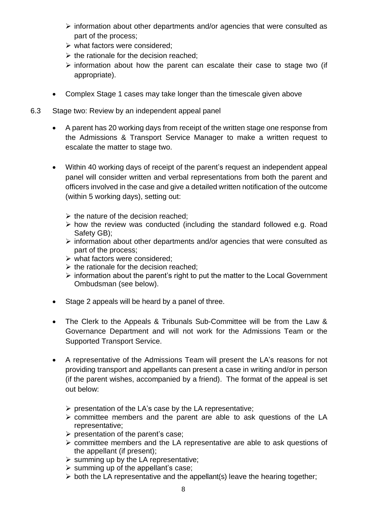- ➢ information about other departments and/or agencies that were consulted as part of the process;
- $\triangleright$  what factors were considered:
- $\triangleright$  the rationale for the decision reached;
- ➢ information about how the parent can escalate their case to stage two (if appropriate).
- Complex Stage 1 cases may take longer than the timescale given above
- 6.3 Stage two: Review by an independent appeal panel
	- A parent has 20 working days from receipt of the written stage one response from the Admissions & Transport Service Manager to make a written request to escalate the matter to stage two.
	- Within 40 working days of receipt of the parent's request an independent appeal panel will consider written and verbal representations from both the parent and officers involved in the case and give a detailed written notification of the outcome (within 5 working days), setting out:
		- $\triangleright$  the nature of the decision reached:
		- ➢ how the review was conducted (including the standard followed e.g. Road Safety GB);
		- ➢ information about other departments and/or agencies that were consulted as part of the process;
		- ➢ what factors were considered;
		- $\triangleright$  the rationale for the decision reached:
		- ➢ information about the parent's right to put the matter to the Local Government Ombudsman (see below).
	- Stage 2 appeals will be heard by a panel of three.
	- The Clerk to the Appeals & Tribunals Sub-Committee will be from the Law & Governance Department and will not work for the Admissions Team or the Supported Transport Service.
	- A representative of the Admissions Team will present the LA's reasons for not providing transport and appellants can present a case in writing and/or in person (if the parent wishes, accompanied by a friend). The format of the appeal is set out below:
		- ➢ presentation of the LA's case by the LA representative;
		- ➢ committee members and the parent are able to ask questions of the LA representative;
		- $\triangleright$  presentation of the parent's case;
		- ➢ committee members and the LA representative are able to ask questions of the appellant (if present);
		- $\triangleright$  summing up by the LA representative;
		- $\triangleright$  summing up of the appellant's case;
		- ➢ both the LA representative and the appellant(s) leave the hearing together;